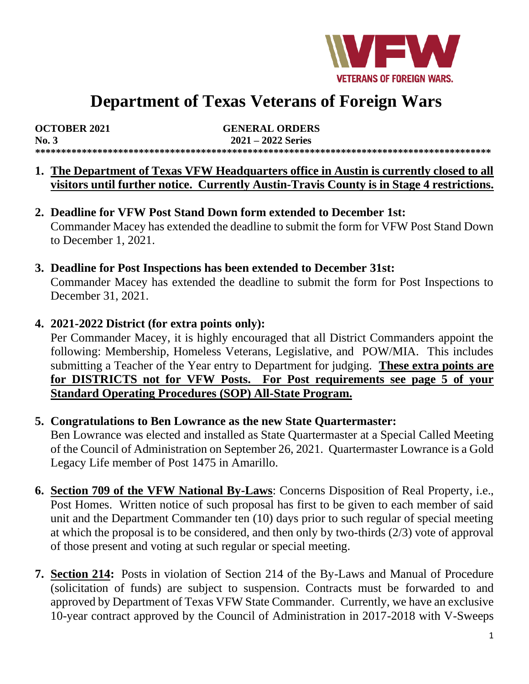

# **Department of Texas Veterans of Foreign Wars**

| <b>OCTOBER 2021</b> | <b>GENERAL ORDERS</b> |
|---------------------|-----------------------|
| No.3                | $2021 - 2022$ Series  |
|                     |                       |

- **1. The Department of Texas VFW Headquarters office in Austin is currently closed to all visitors until further notice. Currently Austin-Travis County is in Stage 4 restrictions.**
- **2. Deadline for VFW Post Stand Down form extended to December 1st:** Commander Macey has extended the deadline to submit the form for VFW Post Stand Down to December 1, 2021.
- **3. Deadline for Post Inspections has been extended to December 31st:** Commander Macey has extended the deadline to submit the form for Post Inspections to December 31, 2021.
- **4. 2021-2022 District (for extra points only):**

Per Commander Macey, it is highly encouraged that all District Commanders appoint the following: Membership, Homeless Veterans, Legislative, and POW/MIA. This includes submitting a Teacher of the Year entry to Department for judging. **These extra points are for DISTRICTS not for VFW Posts. For Post requirements see page 5 of your Standard Operating Procedures (SOP) All-State Program.**

#### **5. Congratulations to Ben Lowrance as the new State Quartermaster:**

Ben Lowrance was elected and installed as State Quartermaster at a Special Called Meeting of the Council of Administration on September 26, 2021. Quartermaster Lowrance is a Gold Legacy Life member of Post 1475 in Amarillo.

- **6. Section 709 of the VFW National By-Laws**: Concerns Disposition of Real Property, i.e., Post Homes. Written notice of such proposal has first to be given to each member of said unit and the Department Commander ten (10) days prior to such regular of special meeting at which the proposal is to be considered, and then only by two-thirds (2/3) vote of approval of those present and voting at such regular or special meeting.
- **7. Section 214:** Posts in violation of Section 214 of the By-Laws and Manual of Procedure (solicitation of funds) are subject to suspension. Contracts must be forwarded to and approved by Department of Texas VFW State Commander. Currently, we have an exclusive 10-year contract approved by the Council of Administration in 2017-2018 with V-Sweeps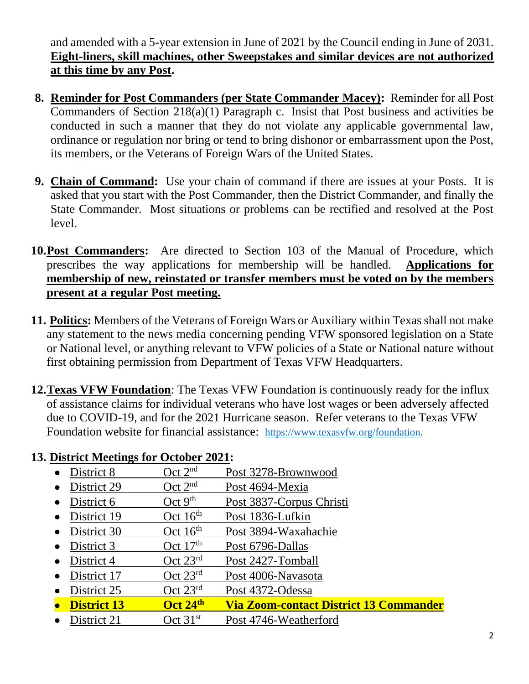and amended with a 5-year extension in June of 2021 by the Council ending in June of 2031. **Eight-liners, skill machines, other Sweepstakes and similar devices are not authorized at this time by any Post.**

- **8. Reminder for Post Commanders (per State Commander Macey):** Reminder for all Post Commanders of Section 218(a)(1) Paragraph c. Insist that Post business and activities be conducted in such a manner that they do not violate any applicable governmental law, ordinance or regulation nor bring or tend to bring dishonor or embarrassment upon the Post, its members, or the Veterans of Foreign Wars of the United States.
- **9. Chain of Command:** Use your chain of command if there are issues at your Posts. It is asked that you start with the Post Commander, then the District Commander, and finally the State Commander. Most situations or problems can be rectified and resolved at the Post level.
- **10.Post Commanders:** Are directed to Section 103 of the Manual of Procedure, which prescribes the way applications for membership will be handled. **Applications for membership of new, reinstated or transfer members must be voted on by the members present at a regular Post meeting.**
- **11. Politics:** Members of the Veterans of Foreign Wars or Auxiliary within Texas shall not make any statement to the news media concerning pending VFW sponsored legislation on a State or National level, or anything relevant to VFW policies of a State or National nature without first obtaining permission from Department of Texas VFW Headquarters.
- **12.Texas VFW Foundation**: The Texas VFW Foundation is continuously ready for the influx of assistance claims for individual veterans who have lost wages or been adversely affected due to COVID-19, and for the 2021 Hurricane season. Refer veterans to the Texas VFW Foundation website for financial assistance: [https://www.texasvfw.org/foundation.](https://www.texasvfw.org/foundation)

#### **13. District Meetings for October 2021:**

- District 8  $\qquad \qquad$  Oct 2<sup>nd</sup> Post 3278-Brownwood
- District 29  $\qquad \qquad$  Oct 2<sup>nd</sup> Post 4694-Mexia
- District 6  $\qquad \qquad$  Oct 9<sup>th</sup> Post 3837-Corpus Christi
- District 19  $\qquad \qquad$  Oct 16<sup>th</sup> Post 1836-Lufkin
- District 30 Oct 16<sup>th</sup> Post 3894-Waxahachie
- District 3  $\qquad \qquad$  Oct 17<sup>th</sup> Post 6796-Dallas
- District 4 Oct 23<sup>rd</sup> Post 2427-Tomball
- District 17 Oct 23<sup>rd</sup> Post 4006-Navasota
- District 25 Oct 23<sup>rd</sup> Post 4372-Odessa
- **District 13 Oct 24th Via Zoom-contact District 13 Commander**
- District 21 Oct 31<sup>st</sup> Post 4746-Weatherford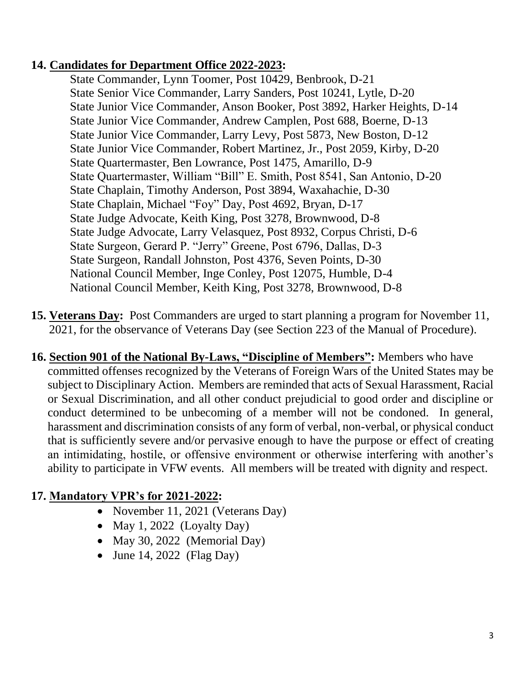#### **14. Candidates for Department Office 2022-2023:**

State Commander, Lynn Toomer, Post 10429, Benbrook, D-21 State Senior Vice Commander, Larry Sanders, Post 10241, Lytle, D-20 State Junior Vice Commander, Anson Booker, Post 3892, Harker Heights, D-14 State Junior Vice Commander, Andrew Camplen, Post 688, Boerne, D-13 State Junior Vice Commander, Larry Levy, Post 5873, New Boston, D-12 State Junior Vice Commander, Robert Martinez, Jr., Post 2059, Kirby, D-20 State Quartermaster, Ben Lowrance, Post 1475, Amarillo, D-9 State Quartermaster, William "Bill" E. Smith, Post 8541, San Antonio, D-20 State Chaplain, Timothy Anderson, Post 3894, Waxahachie, D-30 State Chaplain, Michael "Foy" Day, Post 4692, Bryan, D-17 State Judge Advocate, Keith King, Post 3278, Brownwood, D-8 State Judge Advocate, Larry Velasquez, Post 8932, Corpus Christi, D-6 State Surgeon, Gerard P. "Jerry" Greene, Post 6796, Dallas, D-3 State Surgeon, Randall Johnston, Post 4376, Seven Points, D-30 National Council Member, Inge Conley, Post 12075, Humble, D-4 National Council Member, Keith King, Post 3278, Brownwood, D-8

- **15. Veterans Day:** Post Commanders are urged to start planning a program for November 11, 2021, for the observance of Veterans Day (see Section 223 of the Manual of Procedure).
- **16. Section 901 of the National By-Laws, "Discipline of Members":** Members who have committed offenses recognized by the Veterans of Foreign Wars of the United States may be subject to Disciplinary Action. Members are reminded that acts of Sexual Harassment, Racial or Sexual Discrimination, and all other conduct prejudicial to good order and discipline or conduct determined to be unbecoming of a member will not be condoned. In general, harassment and discrimination consists of any form of verbal, non-verbal, or physical conduct that is sufficiently severe and/or pervasive enough to have the purpose or effect of creating an intimidating, hostile, or offensive environment or otherwise interfering with another's ability to participate in VFW events. All members will be treated with dignity and respect.

#### **17. Mandatory VPR's for 2021-2022:**

- November 11, 2021 (Veterans Day)
- May 1, 2022 (Loyalty Day)
- May 30, 2022 (Memorial Day)
- June 14, 2022 (Flag Day)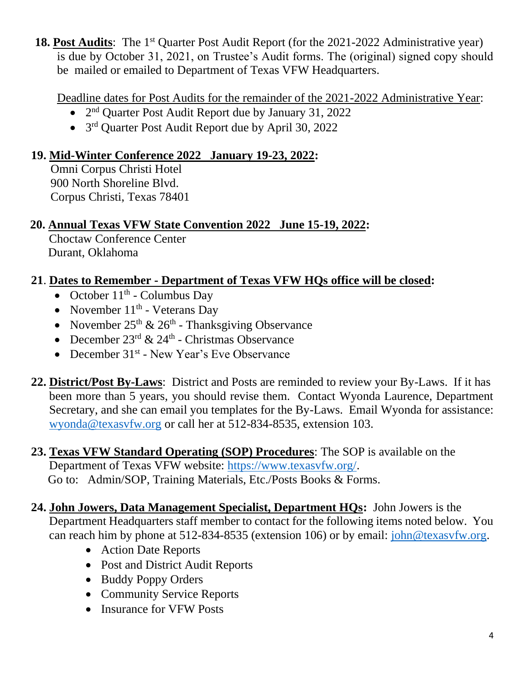18. Post Audits: The 1<sup>st</sup> Quarter Post Audit Report (for the 2021-2022 Administrative year) is due by October 31, 2021, on Trustee's Audit forms. The (original) signed copy should be mailed or emailed to Department of Texas VFW Headquarters.

Deadline dates for Post Audits for the remainder of the 2021-2022 Administrative Year:

- 2<sup>nd</sup> Quarter Post Audit Report due by January 31, 2022
- 3<sup>rd</sup> Quarter Post Audit Report due by April 30, 2022

## **19. Mid-Winter Conference 2022 January 19-23, 2022:**

Omni Corpus Christi Hotel 900 North Shoreline Blvd. Corpus Christi, Texas 78401

## **20. Annual Texas VFW State Convention 2022 June 15-19, 2022:**

 Choctaw Conference Center Durant, Oklahoma

## **21**. **Dates to Remember - Department of Texas VFW HQs office will be closed:**

- October  $11<sup>th</sup>$  Columbus Day
- November  $11<sup>th</sup>$  Veterans Day
- November  $25<sup>th</sup>$  &  $26<sup>th</sup>$  Thanksgiving Observance
- December  $23^{\text{rd}} \& 24^{\text{th}}$  Christmas Observance
- December 31<sup>st</sup> New Year's Eve Observance
- **22. District/Post By-Laws**: District and Posts are reminded to review your By-Laws. If it has been more than 5 years, you should revise them. Contact Wyonda Laurence, Department Secretary, and she can email you templates for the By-Laws. Email Wyonda for assistance: [wyonda@texasvfw.org](mailto:wyonda@texasvfw.org) or call her at 512-834-8535, extension 103.
- **23. Texas VFW Standard Operating (SOP) Procedures**: The SOP is available on the Department of Texas VFW website: [https://www.texasvfw.org/.](https://www.texasvfw.org/) Go to: Admin/SOP, Training Materials, Etc./Posts Books & Forms.
- **24. John Jowers, Data Management Specialist, Department HQs:** John Jowers is the Department Headquarters staff member to contact for the following items noted below. You can reach him by phone at 512-834-8535 (extension 106) or by email: [john@texasvfw.org.](mailto:john@texasvfw.org)
	- Action Date Reports
	- Post and District Audit Reports
	- Buddy Poppy Orders
	- Community Service Reports
	- Insurance for VFW Posts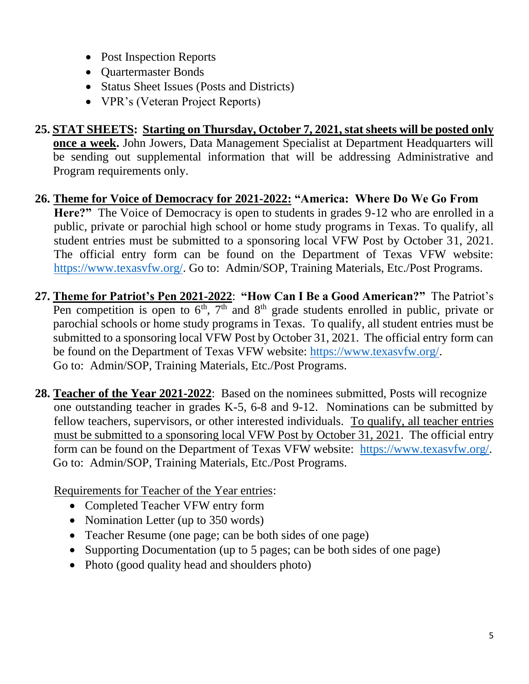- Post Inspection Reports
- Quartermaster Bonds
- Status Sheet Issues (Posts and Districts)
- VPR's (Veteran Project Reports)
- **25. STAT SHEETS: Starting on Thursday, October 7, 2021, stat sheets will be posted only once a week.** John Jowers, Data Management Specialist at Department Headquarters will be sending out supplemental information that will be addressing Administrative and Program requirements only.
- **26. Theme for Voice of Democracy for 2021-2022: "America: Where Do We Go From**  Here?" The Voice of Democracy is open to students in grades 9-12 who are enrolled in a public, private or parochial high school or home study programs in Texas. To qualify, all student entries must be submitted to a sponsoring local VFW Post by October 31, 2021. The official entry form can be found on the Department of Texas VFW website: [https://www.texasvfw.org/.](https://www.texasvfw.org/) Go to: Admin/SOP, Training Materials, Etc./Post Programs.
- **27. Theme for Patriot's Pen 2021-2022**: **"How Can I Be a Good American?"** The Patriot's Pen competition is open to  $6<sup>th</sup>$ ,  $7<sup>th</sup>$  and  $8<sup>th</sup>$  grade students enrolled in public, private or parochial schools or home study programs in Texas. To qualify, all student entries must be submitted to a sponsoring local VFW Post by October 31, 2021. The official entry form can be found on the Department of Texas VFW website: [https://www.texasvfw.org/.](https://www.texasvfw.org/) Go to: Admin/SOP, Training Materials, Etc./Post Programs.
- **28. Teacher of the Year 2021-2022**: Based on the nominees submitted, Posts will recognize one outstanding teacher in grades K-5, 6-8 and 9-12. Nominations can be submitted by fellow teachers, supervisors, or other interested individuals. To qualify, all teacher entries must be submitted to a sponsoring local VFW Post by October 31, 2021. The official entry form can be found on the Department of Texas VFW website: [https://www.texasvfw.org/.](https://www.texasvfw.org/) Go to: Admin/SOP, Training Materials, Etc./Post Programs.

Requirements for Teacher of the Year entries:

- Completed Teacher VFW entry form
- Nomination Letter (up to 350 words)
- Teacher Resume (one page; can be both sides of one page)
- Supporting Documentation (up to 5 pages; can be both sides of one page)
- Photo (good quality head and shoulders photo)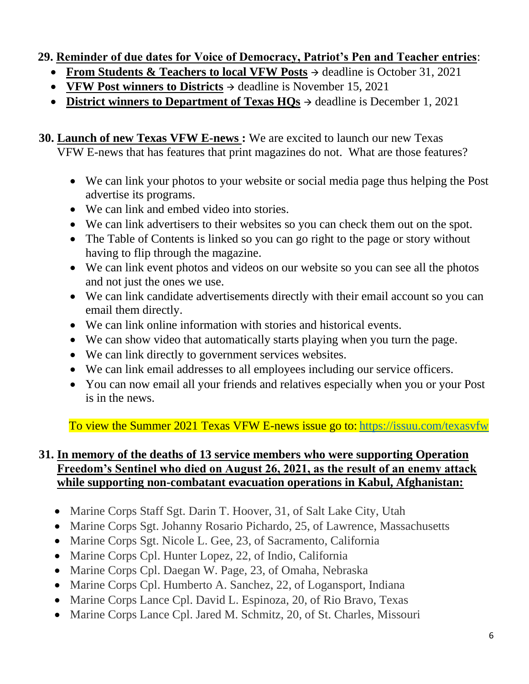#### **29. Reminder of due dates for Voice of Democracy, Patriot's Pen and Teacher entries**:

- **From Students & Teachers to local VFW Posts** <sup>→</sup> deadline is October 31, 2021
- **VFW Post winners to Districts** <sup>→</sup> deadline is November 15, 2021
- **District winners to Department of Texas HQs** <sup>→</sup> deadline is December 1, 2021
- **30. Launch of new Texas VFW E-news :** We are excited to launch our new Texas VFW E-news that has features that print magazines do not. What are those features?
	- We can link your photos to your website or social media page thus helping the Post advertise its programs.
	- We can link and embed video into stories.
	- We can link advertisers to their websites so you can check them out on the spot.
	- The Table of Contents is linked so you can go right to the page or story without having to flip through the magazine.
	- We can link event photos and videos on our website so you can see all the photos and not just the ones we use.
	- We can link candidate advertisements directly with their email account so you can email them directly.
	- We can link online information with stories and historical events.
	- We can show video that automatically starts playing when you turn the page.
	- We can link directly to government services websites.
	- We can link email addresses to all employees including our service officers.
	- You can now email all your friends and relatives especially when you or your Post is in the news.

To view the Summer 2021 Texas VFW E-news issue go to: <https://issuu.com/texasvfw>

#### **31. In memory of the deaths of 13 service members who were supporting Operation Freedom's Sentinel who died on August 26, 2021, as the result of an enemy attack while supporting non-combatant evacuation operations in Kabul, Afghanistan:**

- Marine Corps Staff Sgt. Darin T. Hoover, 31, of Salt Lake City, Utah
- Marine Corps Sgt. Johanny Rosario Pichardo, 25, of Lawrence, Massachusetts
- Marine Corps Sgt. Nicole L. Gee, 23, of Sacramento, California
- Marine Corps Cpl. Hunter Lopez, 22, of Indio, California
- Marine Corps Cpl. Daegan W. Page, 23, of Omaha, Nebraska
- Marine Corps Cpl. Humberto A. Sanchez, 22, of Logansport, Indiana
- Marine Corps Lance Cpl. David L. Espinoza, 20, of Rio Bravo, Texas
- Marine Corps Lance Cpl. Jared M. Schmitz, 20, of St. Charles, Missouri